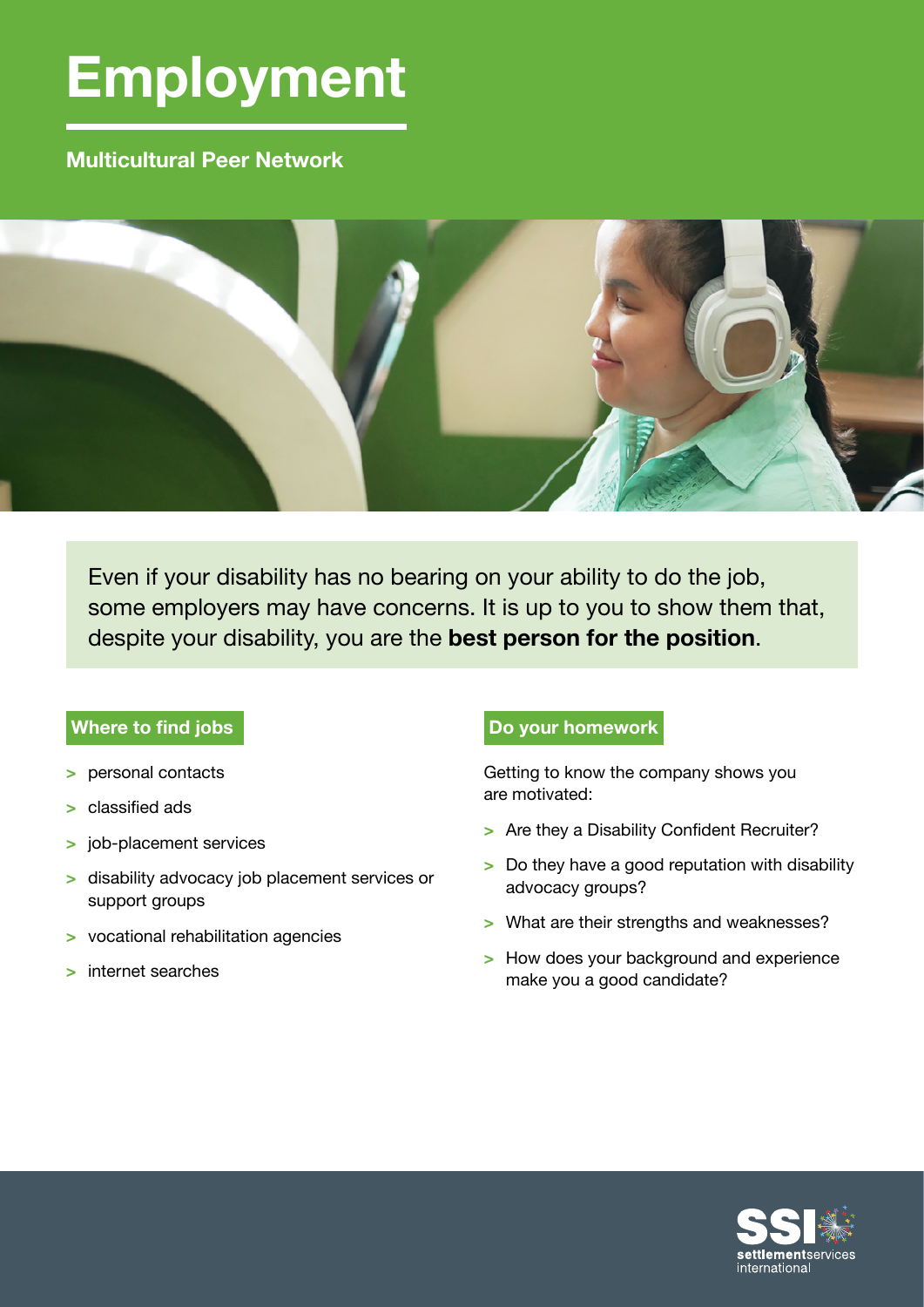# **Employment**

# **Multicultural Peer Network**



Even if your disability has no bearing on your ability to do the job, some employers may have concerns. It is up to you to show them that, despite your disability, you are the **best person for the position**.

# **Where to find jobs**

- **>** personal contacts
- **>** classified ads
- **>** job-placement services
- **>** disability advocacy job placement services or support groups
- **>** vocational rehabilitation agencies
- **>** internet searches

# **Do your homework**

Getting to know the company shows you are motivated:

- **>** Are they a Disability Confident Recruiter?
- **>** Do they have a good reputation with disability advocacy groups?
- **>** What are their strengths and weaknesses?
- **>** How does your background and experience make you a good candidate?